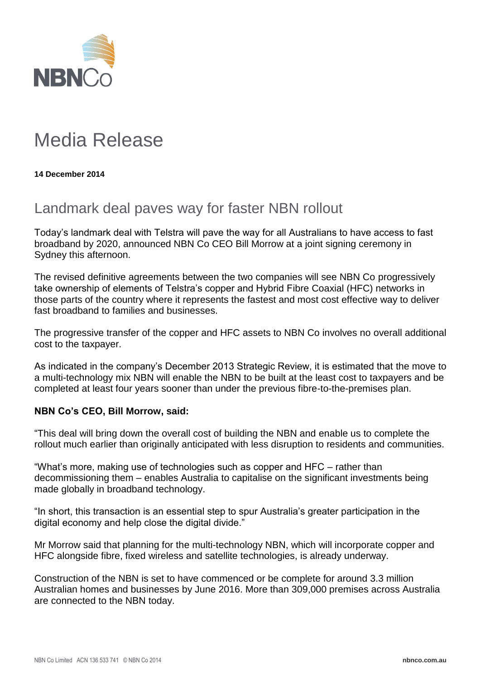

## Media Release

**14 December 2014**

## Landmark deal paves way for faster NBN rollout

Today's landmark deal with Telstra will pave the way for all Australians to have access to fast broadband by 2020, announced NBN Co CEO Bill Morrow at a joint signing ceremony in Sydney this afternoon.

The revised definitive agreements between the two companies will see NBN Co progressively take ownership of elements of Telstra's copper and Hybrid Fibre Coaxial (HFC) networks in those parts of the country where it represents the fastest and most cost effective way to deliver fast broadband to families and businesses.

The progressive transfer of the copper and HFC assets to NBN Co involves no overall additional cost to the taxpayer.

As indicated in the company's December 2013 Strategic Review, it is estimated that the move to a multi-technology mix NBN will enable the NBN to be built at the least cost to taxpayers and be completed at least four years sooner than under the previous fibre-to-the-premises plan.

## **NBN Co's CEO, Bill Morrow, said:**

"This deal will bring down the overall cost of building the NBN and enable us to complete the rollout much earlier than originally anticipated with less disruption to residents and communities.

"What's more, making use of technologies such as copper and HFC – rather than decommissioning them – enables Australia to capitalise on the significant investments being made globally in broadband technology.

"In short, this transaction is an essential step to spur Australia's greater participation in the digital economy and help close the digital divide."

Mr Morrow said that planning for the multi-technology NBN, which will incorporate copper and HFC alongside fibre, fixed wireless and satellite technologies, is already underway.

Construction of the NBN is set to have commenced or be complete for around 3.3 million Australian homes and businesses by June 2016. More than 309,000 premises across Australia are connected to the NBN today.